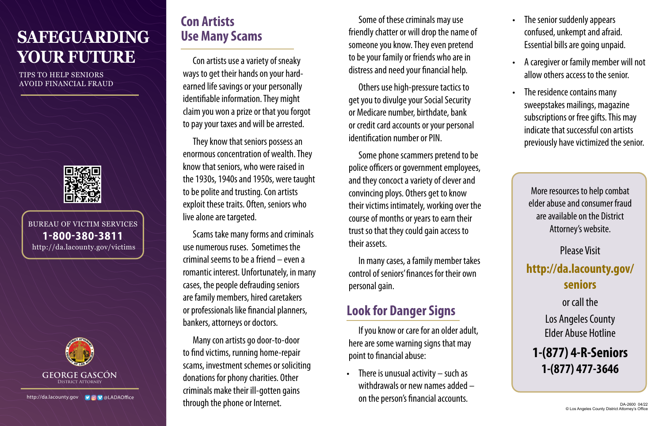# **SAFEGUARDING YOUR FUTURE**

TIPS TO HELP SENIORS AVOID FINANCIAL FRAUD



BUREAU OF VICTIM SERVICES 1-800-380-3811 http://da.lacounty.gov/victims



# **Con Artists Use Many Scams**

Con artists use a variety of sneaky ways to get their hands on your hardearned life savings or your personally identifiable information. They might claim you won a prize or that you forgot to pay your taxes and will be arrested.

They know that seniors possess an enormous concentration of wealth. They know that seniors, who were raised in the 1930s, 1940s and 1950s, were taught to be polite and trusting. Con artists exploit these traits. Often, seniors who live alone are targeted.

Scams take many forms and criminals use numerous ruses. Sometimes the criminal seems to be a friend – even a romantic interest. Unfortunately, in many cases, the people defrauding seniors are family members, hired caretakers or professionals like financial planners, bankers, attorneys or doctors.

Many con artists go door-to-door to find victims, running home-repair scams, investment schemes or soliciting donations for phony charities. Other criminals make their ill-gotten gains through the phone or Internet.

Some of these criminals may use friendly chatter or will drop the name of someone you know. They even pretend to be your family or friends who are in distress and need your financial help.

Others use high-pressure tactics to get you to divulge your Social Security or Medicare number, birthdate, bank or credit card accounts or your personal identification number or PIN.

Some phone scammers pretend to be police officers or government employees, and they concoct a variety of clever and convincing ploys. Others get to know their victims intimately, working over the course of months or years to earn their trust so that they could gain access to their assets.

In many cases, a family member takes control of seniors' finances for their own personal gain.

# **Look for Danger Signs**

If you know or care for an older adult, here are some warning signs that may point to financial abuse:

• There is unusual activity – such as withdrawals or new names added – on the person's financial accounts.

- The senior suddenly appears confused, unkempt and afraid. Essential bills are going unpaid.
- A caregiver or family member will not allow others access to the senior.
- The residence contains many sweepstakes mailings, magazine subscriptions or free gifts. This may indicate that successful con artists previously have victimized the senior.

More resources to help combat elder abuse and consumer fraud are available on the District Attorney's website.

Please Visit **[http://da.lacounty.gov/](http://da.lacounty.gov/seniors) [seniors](http://da.lacounty.gov/seniors)**  or call the Los Angeles County Elder Abuse Hotline

**1-(877) 4-R-Seniors 1-(877) 477-3646**